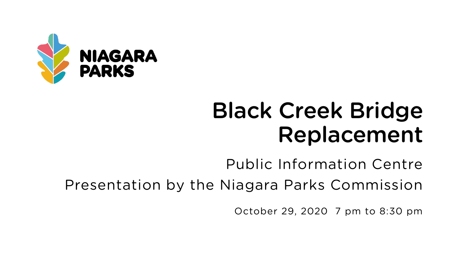

# Black Creek Bridge Replacement

Presentation by the Niagara Parks Commission Public Information Centre

October 29, 2020 7 pm to 8:30 pm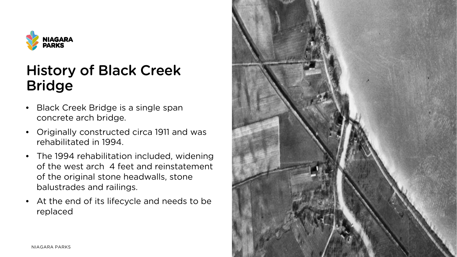

## History of Black Creek Bridge

- Black Creek Bridge is a single span concrete arch bridge.
- Originally constructed circa 1911 and was rehabilitated in 1994.
- The 1994 rehabilitation included, widening of the west arch 4 feet and reinstatement of the original stone headwalls, stone balustrades and railings.
- At the end of its lifecycle and needs to be replaced

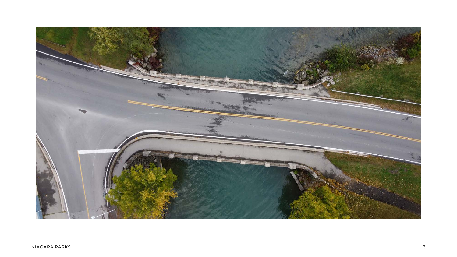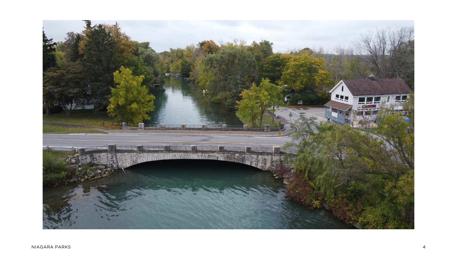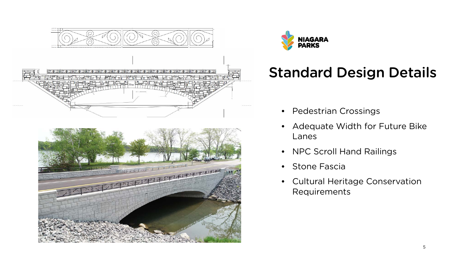



# Standard Design Details

- Pedestrian Crossings
- Adequate Width for Future Bike Lanes
- NPC Scroll Hand Railings
- Stone Fascia
- Cultural Heritage Conservation Requirements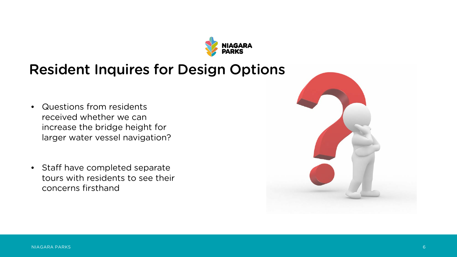

### Resident Inquires for Design Options

- Questions from residents received whether we can increase the bridge height for larger water vessel navigation?
- Staff have completed separate tours with residents to see their concerns firsthand

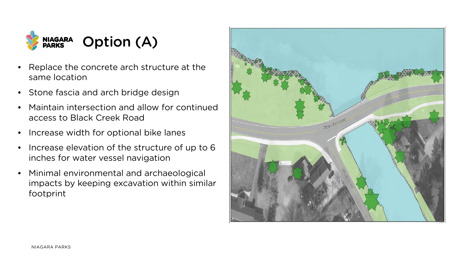

- Replace the concrete arch structure at the same location
- Stone fascia and arch bridge design
- Maintain intersection and allow for continued access to Black Creek Road
- Increase width for optional bike lanes
- Increase elevation of the structure of up to 6 inches for water vessel navigation
- Minimal environmental and archaeological impacts by keeping excavation within similar footprint

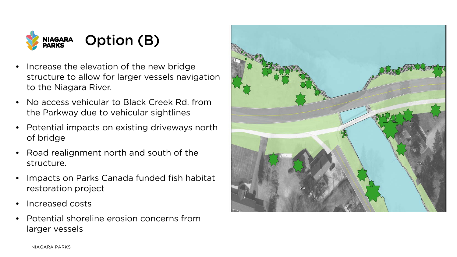

- Increase the elevation of the new bridge structure to allow for larger vessels navigation to the Niagara River.
- No access vehicular to Black Creek Rd. from the Parkway due to vehicular sightlines
- Potential impacts on existing driveways north of bridge
- Road realignment north and south of the structure.
- Impacts on Parks Canada funded fish habitat restoration project
- Increased costs
- Potential shoreline erosion concerns from larger vessels

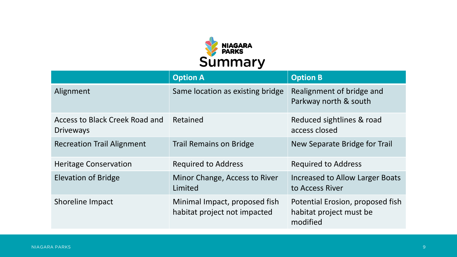

|                                                    | <b>Option A</b>                                               | <b>Option B</b>                                                         |
|----------------------------------------------------|---------------------------------------------------------------|-------------------------------------------------------------------------|
| Alignment                                          | Same location as existing bridge                              | Realignment of bridge and<br>Parkway north & south                      |
| Access to Black Creek Road and<br><b>Driveways</b> | Retained                                                      | Reduced sightlines & road<br>access closed                              |
| <b>Recreation Trail Alignment</b>                  | <b>Trail Remains on Bridge</b>                                | New Separate Bridge for Trail                                           |
| <b>Heritage Conservation</b>                       | <b>Required to Address</b>                                    | <b>Required to Address</b>                                              |
| <b>Elevation of Bridge</b>                         | Minor Change, Access to River<br>Limited                      | Increased to Allow Larger Boats<br>to Access River                      |
| Shoreline Impact                                   | Minimal Impact, proposed fish<br>habitat project not impacted | Potential Erosion, proposed fish<br>habitat project must be<br>modified |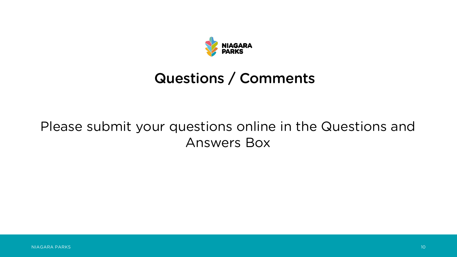

# Questions / Comments

### Please submit your questions online in the Questions and Answers Box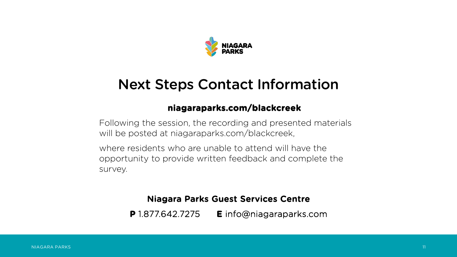

### Next Steps Contact Information

#### **niagaraparks.com/blackcreek**

Following the session, the recording and presented materials will be posted at niagaraparks.com/blackcreek,

where residents who are unable to attend will have the opportunity to provide written feedback and complete the survey.

#### Niagara Parks Guest Services Centre

**P** 1.877.642.7275 **E** info@niagaraparks.com